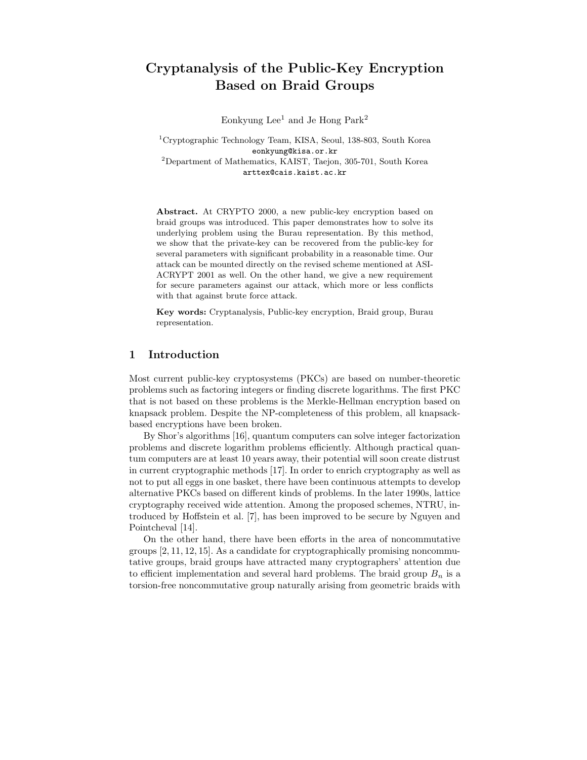# Cryptanalysis of the Public-Key Encryption Based on Braid Groups

Eonkyung Lee<sup>1</sup> and Je Hong Park<sup>2</sup>

<sup>1</sup>Cryptographic Technology Team, KISA, Seoul, 138-803, South Korea eonkyung@kisa.or.kr <sup>2</sup>Department of Mathematics, KAIST, Taejon, 305-701, South Korea arttex@cais.kaist.ac.kr

Abstract. At CRYPTO 2000, a new public-key encryption based on braid groups was introduced. This paper demonstrates how to solve its underlying problem using the Burau representation. By this method, we show that the private-key can be recovered from the public-key for several parameters with significant probability in a reasonable time. Our attack can be mounted directly on the revised scheme mentioned at ASI-ACRYPT 2001 as well. On the other hand, we give a new requirement for secure parameters against our attack, which more or less conflicts with that against brute force attack.

Key words: Cryptanalysis, Public-key encryption, Braid group, Burau representation.

# 1 Introduction

Most current public-key cryptosystems (PKCs) are based on number-theoretic problems such as factoring integers or finding discrete logarithms. The first PKC that is not based on these problems is the Merkle-Hellman encryption based on knapsack problem. Despite the NP-completeness of this problem, all knapsackbased encryptions have been broken.

By Shor's algorithms [16], quantum computers can solve integer factorization problems and discrete logarithm problems efficiently. Although practical quantum computers are at least 10 years away, their potential will soon create distrust in current cryptographic methods [17]. In order to enrich cryptography as well as not to put all eggs in one basket, there have been continuous attempts to develop alternative PKCs based on different kinds of problems. In the later 1990s, lattice cryptography received wide attention. Among the proposed schemes, NTRU, introduced by Hoffstein et al. [7], has been improved to be secure by Nguyen and Pointcheval [14].

On the other hand, there have been efforts in the area of noncommutative groups  $[2, 11, 12, 15]$ . As a candidate for cryptographically promising noncommutative groups, braid groups have attracted many cryptographers' attention due to efficient implementation and several hard problems. The braid group  $B_n$  is a torsion-free noncommutative group naturally arising from geometric braids with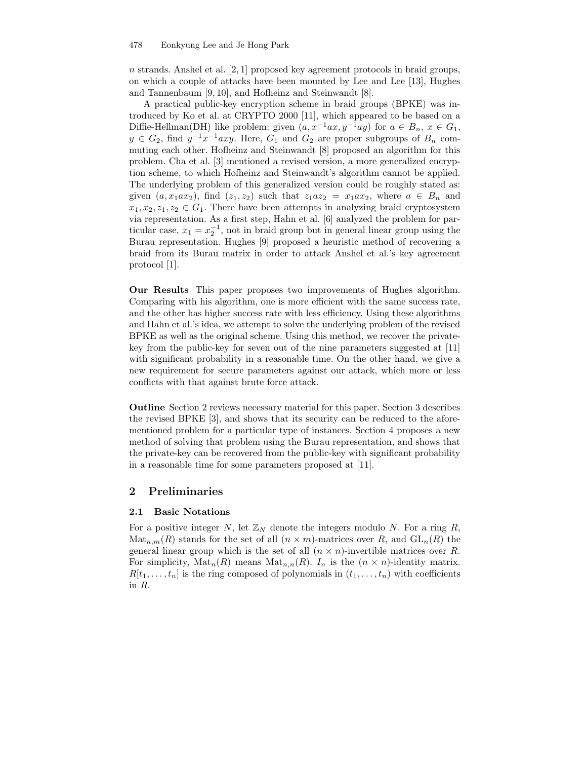$n$  strands. Anshel et al. [2, 1] proposed key agreement protocols in braid groups, on which a couple of attacks have been mounted by Lee and Lee [13], Hughes and Tannenbaum [9, 10], and Hofheinz and Steinwandt [8].

A practical public-key encryption scheme in braid groups (BPKE) was introduced by Ko et al. at CRYPTO 2000 [11], which appeared to be based on a Diffie-Hellman(DH) like problem: given  $(a, x^{-1}ax, y^{-1}ay)$  for  $a \in B_n$ ,  $x \in G_1$ ,  $y \in G_2$ , find  $y^{-1}x^{-1}axy$ . Here,  $G_1$  and  $G_2$  are proper subgroups of  $B_n$  commuting each other. Hofheinz and Steinwandt [8] proposed an algorithm for this problem. Cha et al. [3] mentioned a revised version, a more generalized encryption scheme, to which Hofheinz and Steinwandt's algorithm cannot be applied. The underlying problem of this generalized version could be roughly stated as: given  $(a, x_1ax_2)$ , find  $(z_1, z_2)$  such that  $z_1az_2 = x_1ax_2$ , where  $a \in B_n$  and  $x_1, x_2, z_1, z_2 \in G_1$ . There have been attempts in analyzing braid cryptosystem via representation. As a first step, Hahn et al. [6] analyzed the problem for particular case,  $x_1 = x_2^{-1}$ , not in braid group but in general linear group using the Burau representation. Hughes [9] proposed a heuristic method of recovering a braid from its Burau matrix in order to attack Anshel et al.'s key agreement protocol [1].

Our Results This paper proposes two improvements of Hughes algorithm. Comparing with his algorithm, one is more efficient with the same success rate, and the other has higher success rate with less efficiency. Using these algorithms and Hahn et al.'s idea, we attempt to solve the underlying problem of the revised BPKE as well as the original scheme. Using this method, we recover the privatekey from the public-key for seven out of the nine parameters suggested at [11] with significant probability in a reasonable time. On the other hand, we give a new requirement for secure parameters against our attack, which more or less conflicts with that against brute force attack.

Outline Section 2 reviews necessary material for this paper. Section 3 describes the revised BPKE [3], and shows that its security can be reduced to the aforementioned problem for a particular type of instances. Section 4 proposes a new method of solving that problem using the Burau representation, and shows that the private-key can be recovered from the public-key with significant probability in a reasonable time for some parameters proposed at [11].

# 2 Preliminaries

### 2.1 Basic Notations

For a positive integer N, let  $\mathbb{Z}_N$  denote the integers modulo N. For a ring R,  $\text{Mat}_{n,m}(R)$  stands for the set of all  $(n \times m)$ -matrices over R, and  $\text{GL}_n(R)$  the general linear group which is the set of all  $(n \times n)$ -invertible matrices over R. For simplicity,  $\text{Mat}_n(R)$  means  $\text{Mat}_{n,n}(R)$ .  $I_n$  is the  $(n \times n)$ -identity matrix.  $R[t_1, \ldots, t_n]$  is the ring composed of polynomials in  $(t_1, \ldots, t_n)$  with coefficients in R.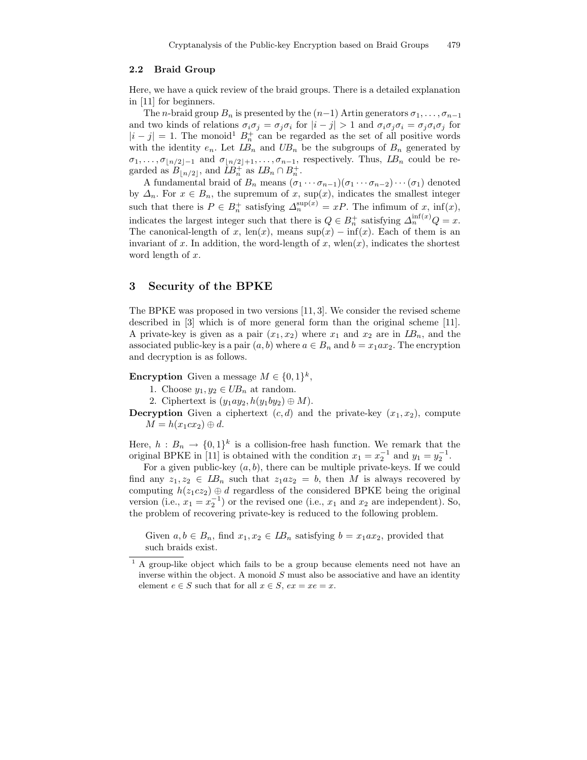#### 2.2 Braid Group

Here, we have a quick review of the braid groups. There is a detailed explanation in [11] for beginners.

The *n*-braid group  $B_n$  is presented by the  $(n-1)$  Artin generators  $\sigma_1, \ldots, \sigma_{n-1}$ and two kinds of relations  $\sigma_i \sigma_j = \sigma_j \sigma_i$  for  $|i - j| > 1$  and  $\sigma_i \sigma_j \sigma_i = \sigma_j \sigma_i \sigma_j$  for  $|i-j|=1$ . The monoid<sup>1</sup>  $B_n^+$  can be regarded as the set of all positive words with the identity  $e_n$ . Let  $LB_n$  and  $UB_n$  be the subgroups of  $B_n$  generated by  $\sigma_1, \ldots, \sigma_{\lfloor n/2 \rfloor-1}$  and  $\sigma_{\lfloor n/2 \rfloor+1}, \ldots, \sigma_{n-1}$ , respectively. Thus,  $L\mathcal{B}_n$  could be regarded as  $B_{\lfloor n/2 \rfloor}$ , and  $\overline{L}B_n^+$  as  $\overline{L}B_n \cap B_n^+$ .

A fundamental braid of  $B_n$  means  $(\sigma_1 \cdots \sigma_{n-1})(\sigma_1 \cdots \sigma_{n-2}) \cdots (\sigma_1)$  denoted by  $\Delta_n$ . For  $x \in B_n$ , the supremum of x, sup(x), indicates the smallest integer such that there is  $P \in B_n^+$  satisfying  $\Delta_n^{\sup(x)} = xP$ . The infimum of x, inf(x), indicates the largest integer such that there is  $Q \in B_n^+$  satisfying  $\Delta_n^{\inf(x)}Q = x$ . The canonical-length of x, len(x), means  $\sup(x) - \inf(x)$ . Each of them is an invariant of x. In addition, the word-length of x, wlen $(x)$ , indicates the shortest word length of x.

## 3 Security of the BPKE

The BPKE was proposed in two versions [11, 3]. We consider the revised scheme described in [3] which is of more general form than the original scheme [11]. A private-key is given as a pair  $(x_1, x_2)$  where  $x_1$  and  $x_2$  are in  $LB_n$ , and the associated public-key is a pair  $(a, b)$  where  $a \in B_n$  and  $b = x_1 a x_2$ . The encryption and decryption is as follows.

**Encryption** Given a message  $M \in \{0,1\}^k$ ,

1. Choose  $y_1, y_2 \in UB_n$  at random.

2. Ciphertext is  $(y_1ay_2, h(y_1by_2) \oplus M)$ .

**Decryption** Given a ciphertext  $(c,d)$  and the private-key  $(x_1, x_2)$ , compute  $M = h(x_1cx_2) \oplus d.$ 

Here,  $h: B_n \to \{0,1\}^k$  is a collision-free hash function. We remark that the original BPKE in [11] is obtained with the condition  $x_1 = x_2^{-1}$  and  $y_1 = y_2^{-1}$ .

For a given public-key  $(a, b)$ , there can be multiple private-keys. If we could find any  $z_1, z_2 \in \mathit{LB}_n$  such that  $z_1 a z_2 = b$ , then M is always recovered by computing  $h(z_1c\overline{z_2}) \oplus d$  regardless of the considered BPKE being the original version (i.e.,  $x_1 = x_2^{-1}$ ) or the revised one (i.e.,  $x_1$  and  $x_2$  are independent). So, the problem of recovering private-key is reduced to the following problem.

Given  $a, b \in B_n$ , find  $x_1, x_2 \in \mathbb{L}B_n$  satisfying  $b = x_1ax_2$ , provided that such braids exist.

<sup>1</sup> A group-like object which fails to be a group because elements need not have an inverse within the object. A monoid  $S$  must also be associative and have an identity element  $e \in S$  such that for all  $x \in S$ ,  $ex = xe = x$ .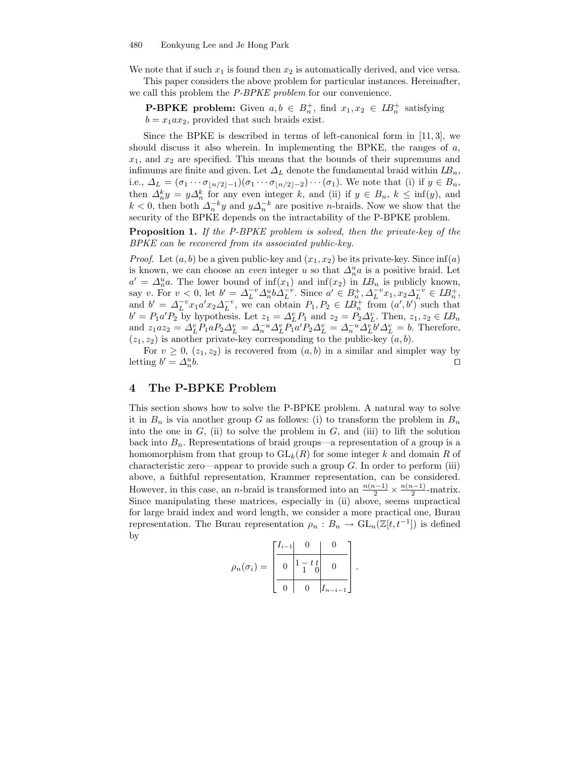We note that if such  $x_1$  is found then  $x_2$  is automatically derived, and vice versa.

This paper considers the above problem for particular instances. Hereinafter, we call this problem the P-BPKE problem for our convenience.

**P-BPKE problem:** Given  $a, b \in B_n^+$ , find  $x_1, x_2 \in LB_n^+$  satisfying  $b = x_1ax_2$ , provided that such braids exist.

Since the BPKE is described in terms of left-canonical form in  $[11,3]$ , we should discuss it also wherein. In implementing the BPKE, the ranges of  $a$ ,  $x_1$ , and  $x_2$  are specified. This means that the bounds of their supremums and infimums are finite and given. Let  $\Delta_L$  denote the fundamental braid within  $LB_n$ , i.e.,  $\Delta_L = (\sigma_1 \cdots \sigma_{n/2|-1})(\sigma_1 \cdots \sigma_{n/2|-2})\cdots (\sigma_1)$ . We note that (i) if  $y \in B_n$ , then  $\Delta_n^k y = y \Delta_n^k$  for any even integer k, and (ii) if  $y \in B_n$ ,  $k \leq \inf(y)$ , and  $k < 0$ , then both  $\Delta_n^{-k} y$  and  $y \Delta_n^{-k}$  are positive *n*-braids. Now we show that the security of the BPKE depends on the intractability of the P-BPKE problem.

Proposition 1. If the P-BPKE problem is solved, then the private-key of the BPKE can be recovered from its associated public-key.

*Proof.* Let  $(a, b)$  be a given public-key and  $(x_1, x_2)$  be its private-key. Since  $\inf(a)$ is known, we can choose an *even* integer u so that  $\Delta_n^u a$  is a positive braid. Let  $a' = \Delta_n^u a$ . The lower bound of  $\inf(x_1)$  and  $\inf(x_2)$  in  $LB_n$  is publicly known, say v. For  $v < 0$ , let  $b' = \Delta_L^{-v} \Delta_n^u b \Delta_L^{-v}$ . Since  $a' \in B_n^+, \Delta_L^{-v} x_1, x_2 \Delta_L^{-v} \in L B_n^+$ , and  $b' = \Delta_L^{-v} x_1 a' x_2 \Delta_L^{-v}$ , we can obtain  $P_1, P_2 \in \mathbb{L}$  from  $(a', b')$  such that  $b' = P_1 a' P_2$  by hypothesis. Let  $z_1 = \Delta_L^v P_1$  and  $z_2 = P_2 \Delta_L^v$ . Then,  $z_1, z_2 \in L\mathcal{B}_n$ and  $z_1 a z_2 = \Delta_L^v P_1 a P_2 \Delta_L^v = \Delta_n^{-u} \Delta_L^v P_1 a' P_2 \Delta_L^v = \Delta_n^{-u} \Delta_L^v b' \Delta_L^v = b$ . Therefore,  $(z_1, z_2)$  is another private-key corresponding to the public-key  $(a, b)$ .

For  $v \geq 0$ ,  $(z_1, z_2)$  is recovered from  $(a, b)$  in a similar and simpler way by letting  $b' = \Delta_n^u$ b.  $\Box$ 

## 4 The P-BPKE Problem

This section shows how to solve the P-BPKE problem. A natural way to solve it in  $B_n$  is via another group G as follows: (i) to transform the problem in  $B_n$ into the one in  $G$ , (ii) to solve the problem in  $G$ , and (iii) to lift the solution back into  $B_n$ . Representations of braid groups—a representation of a group is a homomorphism from that group to  $GL_k(R)$  for some integer k and domain R of characteristic zero—appear to provide such a group  $G$ . In order to perform (iii) above, a faithful representation, Krammer representation, can be considered. However, in this case, an *n*-braid is transformed into an  $\frac{n(n-1)}{2} \times \frac{n(n-1)}{2}$  $\frac{1}{2}$ -matrix. Since manipulating these matrices, especially in (ii) above, seems unpractical for large braid index and word length, we consider a more practical one, Burau representation. The Burau representation  $\rho_n: B_n \to GL_n(\mathbb{Z}[t, t^{-1}])$  is defined by

$$
\rho_n(\sigma_i) = \begin{bmatrix} I_{i-1} & 0 & 0 \\ 0 & 1-t & 0 \\ 0 & 0 & I_{n-i-1} \end{bmatrix}.
$$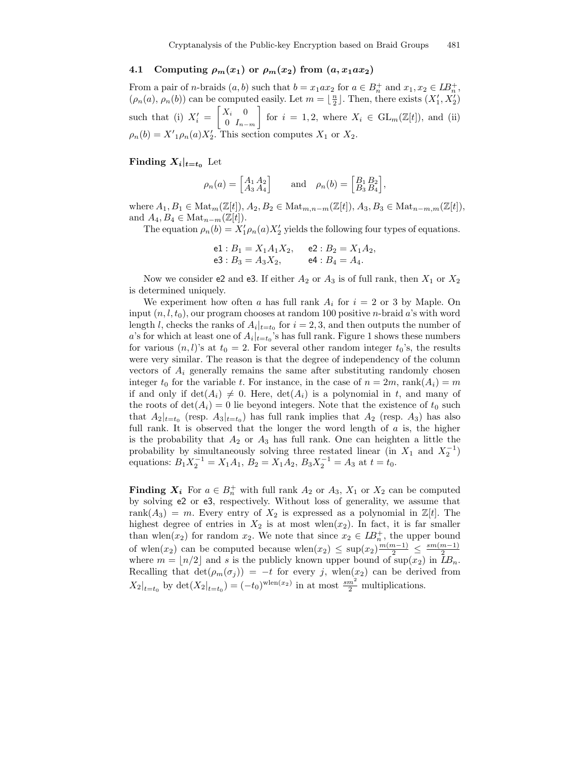# 4.1 Computing  $\rho_m(x_1)$  or  $\rho_m(x_2)$  from  $(a, x_1ax_2)$

From a pair of *n*-braids  $(a, b)$  such that  $b = x_1 a x_2$  for  $a \in B_n^+$  and  $x_1, x_2 \in LB_n^+$ ,  $(\rho_n(a), \rho_n(b))$  can be computed easily. Let  $m = \lfloor \frac{n}{2} \rfloor$ . Then, there exists  $(X'_1, X'_2)$ such that (i)  $X'_i = \begin{bmatrix} X_i & 0 \\ 0 & I_i \end{bmatrix}$ 0  $I_{n-m}$ for  $i = 1, 2$ , where  $X_i \in GL_m(\mathbb{Z}[t])$ , and (ii)  $\rho_n(b) = X' \cdot 1 \rho_n(a) X'_2$ . This section computes  $X_1$  or  $X_2$ .

Finding  $X_i|_{t=t_0}$  Let

$$
\rho_n(a) = \begin{bmatrix} A_1 & A_2 \\ A_3 & A_4 \end{bmatrix} \quad \text{and} \quad \rho_n(b) = \begin{bmatrix} B_1 & B_2 \\ B_3 & B_4 \end{bmatrix},
$$

where  $A_1, B_1 \in \text{Mat}_m(\mathbb{Z}[t]), A_2, B_2 \in \text{Mat}_{m,n-m}(\mathbb{Z}[t]), A_3, B_3 \in \text{Mat}_{n-m,m}(\mathbb{Z}[t]),$ and  $A_4, B_4 \in \text{Mat}_{n-m}(\mathbb{Z}[t]).$ 

The equation  $\rho_n(b) = X_1' \rho_n(a) X_2'$  yields the following four types of equations.

e1: 
$$
B_1 = X_1 A_1 X_2
$$
, e2:  $B_2 = X_1 A_2$ ,  
e3:  $B_3 = A_3 X_2$ , e4:  $B_4 = A_4$ .

Now we consider e2 and e3. If either  $A_2$  or  $A_3$  is of full rank, then  $X_1$  or  $X_2$ is determined uniquely.

We experiment how often a has full rank  $A_i$  for  $i = 2$  or 3 by Maple. On input  $(n, l, t_0)$ , our program chooses at random 100 positive *n*-braid a's with word length *l*, checks the ranks of  $A_i|_{t=t_0}$  for  $i = 2, 3$ , and then outputs the number of a's for which at least one of  $A_i|_{t=t_0}$ 's has full rank. Figure 1 shows these numbers for various  $(n, l)$ 's at  $t_0 = 2$ . For several other random integer  $t_0$ 's, the results were very similar. The reason is that the degree of independency of the column vectors of  $A_i$  generally remains the same after substituting randomly chosen integer  $t_0$  for the variable t. For instance, in the case of  $n = 2m$ , rank $(A_i) = m$ if and only if  $\det(A_i) \neq 0$ . Here,  $\det(A_i)$  is a polynomial in t, and many of the roots of  $\det(A_i) = 0$  lie beyond integers. Note that the existence of  $t_0$  such that  $A_2|_{t=t_0}$  (resp.  $A_3|_{t=t_0}$ ) has full rank implies that  $A_2$  (resp.  $A_3$ ) has also full rank. It is observed that the longer the word length of  $a$  is, the higher is the probability that  $A_2$  or  $A_3$  has full rank. One can heighten a little the probability by simultaneously solving three restated linear (in  $X_1$  and  $X_2^{-1}$ ) equations:  $B_1 X_2^{-1} = X_1 A_1, B_2 = X_1 A_2, B_3 X_2^{-1} = A_3$  at  $t = t_0$ .

**Finding**  $X_i$  For  $a \in B_n^+$  with full rank  $A_2$  or  $A_3$ ,  $X_1$  or  $X_2$  can be computed by solving e2 or e3, respectively. Without loss of generality, we assume that rank $(A_3) = m$ . Every entry of  $X_2$  is expressed as a polynomial in  $\mathbb{Z}[t]$ . The highest degree of entries in  $X_2$  is at most wlen( $x_2$ ). In fact, it is far smaller than wlen(x<sub>2</sub>) for random x<sub>2</sub>. We note that since  $x_2 \in \mathbb{L}$ , the upper bound of wlen(x<sub>2</sub>) can be computed because wlen(x<sub>2</sub>)  $\leq \sup(x_2) \frac{m(m-1)}{2} \leq \frac{sm(m-1)}{2}$ 2 where  $m = |n/2|$  and s is the publicly known upper bound of  $\sup(x_2)$  in  $\overline{L}B_n$ . Recalling that  $\det(\rho_m(\sigma_j)) = -t$  for every j, wlen(x<sub>2</sub>) can be derived from  $X_2|_{t=t_0}$  by  $\det(X_2|_{t=t_0}) = (-t_0)^{\text{when}(x_2)}$  in at most  $\frac{sm^2}{2}$  multiplications.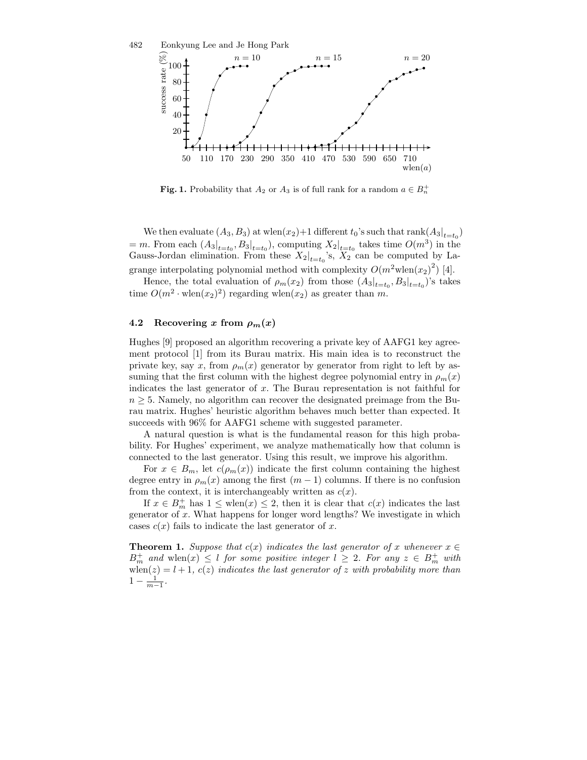

**Fig. 1.** Probability that  $A_2$  or  $A_3$  is of full rank for a random  $a \in B_n^+$ 

We then evaluate  $(A_3, B_3)$  at wlen $(x_2)$ +1 different  $t_0$ 's such that  $\operatorname{rank}(A_3|_{t=t_0})$  $= m$ . From each  $(A_3|_{t=t_0}, B_3|_{t=t_0})$ , computing  $X_2|_{t=t_0}$  takes time  $O(m^3)$  in the Gauss-Jordan elimination. From these  $X_2|_{t=t_0}$ 's,  $X_2$  can be computed by Lagrange interpolating polynomial method with complexity  $O(m^2 \text{when}(x_2)^2)$  [4].

Hence, the total evaluation of  $\rho_m(x_2)$  from those  $(A_3|_{t=t_0}, B_3|_{t=t_0})$ 's takes time  $O(m^2 \cdot \text{when}(x_2)^2)$  regarding wlen $(x_2)$  as greater than m.

#### 4.2 Recovering x from  $\rho_m(x)$

Hughes [9] proposed an algorithm recovering a private key of AAFG1 key agreement protocol [1] from its Burau matrix. His main idea is to reconstruct the private key, say x, from  $\rho_m(x)$  generator by generator from right to left by assuming that the first column with the highest degree polynomial entry in  $\rho_m(x)$ indicates the last generator of  $x$ . The Burau representation is not faithful for  $n \geq 5$ . Namely, no algorithm can recover the designated preimage from the Burau matrix. Hughes' heuristic algorithm behaves much better than expected. It succeeds with 96% for AAFG1 scheme with suggested parameter.

A natural question is what is the fundamental reason for this high probability. For Hughes' experiment, we analyze mathematically how that column is connected to the last generator. Using this result, we improve his algorithm.

For  $x \in B_m$ , let  $c(\rho_m(x))$  indicate the first column containing the highest degree entry in  $\rho_m(x)$  among the first  $(m-1)$  columns. If there is no confusion from the context, it is interchangeably written as  $c(x)$ .

If  $x \in B_m^+$  has  $1 \leq \text{when}(x) \leq 2$ , then it is clear that  $c(x)$  indicates the last generator of  $x$ . What happens for longer word lengths? We investigate in which cases  $c(x)$  fails to indicate the last generator of x.

**Theorem 1.** Suppose that c(x) indicates the last generator of x whenever  $x \in$  $B_m^+$  and wlen $(x) \leq l$  for some positive integer  $l \geq 2$ . For any  $z \in B_m^+$  with  $\text{when}(z) = l + 1, c(z) \text{ indicates the last generator of } z \text{ with probability more than}$  $1 - \frac{1}{m-1}$ .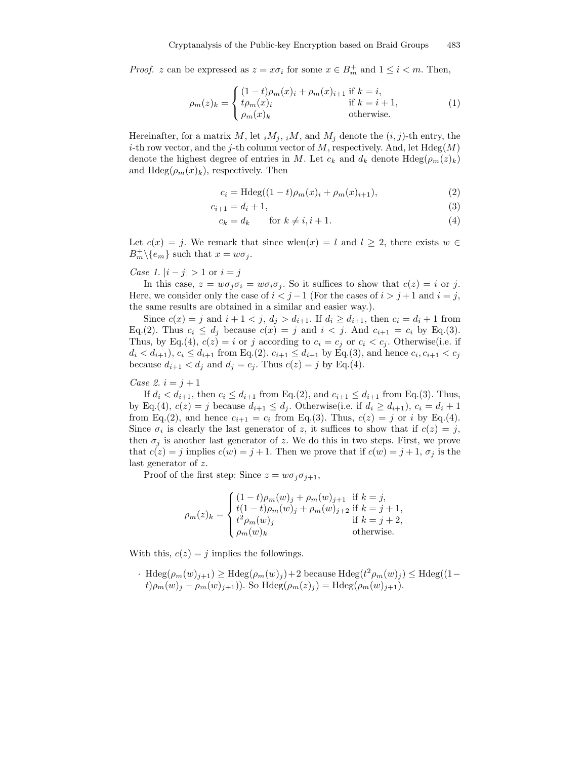*Proof.* z can be expressed as  $z = x\sigma_i$  for some  $x \in B_m^+$  and  $1 \leq i < m$ . Then,

$$
\rho_m(z)_k = \begin{cases}\n(1-t)\rho_m(x)_i + \rho_m(x)_{i+1} & \text{if } k = i, \\
t\rho_m(x)_i & \text{if } k = i+1, \\
\rho_m(x)_k & \text{otherwise.} \n\end{cases}
$$
\n(1)

Hereinafter, for a matrix M, let  $_iM_i$ ,  $_iM$ , and  $M_i$  denote the  $(i, j)$ -th entry, the *i*-th row vector, and the *j*-th column vector of  $M$ , respectively. And, let  $Hdeg(M)$ denote the highest degree of entries in M. Let  $c_k$  and  $d_k$  denote  $Hdeg(\rho_m(z)_k)$ and  $Hdeg(\rho_m(x)_k)$ , respectively. Then

$$
c_i = Hdeg((1-t)\rho_m(x)_i + \rho_m(x)_{i+1}),
$$
\n(2)

$$
c_{i+1} = d_i + 1,\t\t(3)
$$

$$
c_k = d_k \qquad \text{for } k \neq i, i+1. \tag{4}
$$

Let  $c(x) = j$ . We remark that since wlen(x) = l and  $l \geq 2$ , there exists  $w \in$  $B_m^+\backslash\{e_m\}$  such that  $x = w\sigma_j$ .

*Case 1.*  $|i - j| > 1$  or  $i = j$ 

In this case,  $z = w\sigma_j\sigma_i = w\sigma_i\sigma_j$ . So it suffices to show that  $c(z) = i$  or j. Here, we consider only the case of  $i < j - 1$  (For the cases of  $i > j + 1$  and  $i = j$ , the same results are obtained in a similar and easier way.).

Since  $c(x) = j$  and  $i + 1 < j$ ,  $d_j > d_{i+1}$ . If  $d_i \geq d_{i+1}$ , then  $c_i = d_i + 1$  from Eq.(2). Thus  $c_i \leq d_j$  because  $c(x) = j$  and  $i < j$ . And  $c_{i+1} = c_i$  by Eq.(3). Thus, by Eq.(4),  $c(z) = i$  or j according to  $c_i = c_j$  or  $c_i < c_j$ . Otherwise(i.e. if  $d_i < d_{i+1}$ ,  $c_i \le d_{i+1}$  from Eq.(2).  $c_{i+1} \le d_{i+1}$  by Eq.(3), and hence  $c_i, c_{i+1} < c_j$ because  $d_{i+1} < d_j$  and  $d_j = c_j$ . Thus  $c(z) = j$  by Eq.(4).

Case 2.  $i = j + 1$ 

If  $d_i < d_{i+1}$ , then  $c_i \leq d_{i+1}$  from Eq.(2), and  $c_{i+1} \leq d_{i+1}$  from Eq.(3). Thus, by Eq.(4),  $c(z) = j$  because  $d_{i+1} \leq d_i$ . Otherwise(i.e. if  $d_i \geq d_{i+1}$ ),  $c_i = d_i + 1$ from Eq.(2), and hence  $c_{i+1} = c_i$  from Eq.(3). Thus,  $c(z) = j$  or i by Eq.(4). Since  $\sigma_i$  is clearly the last generator of z, it suffices to show that if  $c(z) = j$ , then  $\sigma_j$  is another last generator of z. We do this in two steps. First, we prove that  $c(z) = j$  implies  $c(w) = j + 1$ . Then we prove that if  $c(w) = j + 1$ ,  $\sigma_j$  is the last generator of z.

Proof of the first step: Since  $z = w \sigma_i \sigma_{i+1}$ ,

$$
\rho_m(z)_k = \begin{cases}\n(1-t)\rho_m(w)_j + \rho_m(w)_{j+1} & \text{if } k = j, \\
t(1-t)\rho_m(w)_j + \rho_m(w)_{j+2} & \text{if } k = j+1, \\
t^2\rho_m(w)_j & \text{if } k = j+2, \\
\rho_m(w)_k & \text{otherwise.}\n\end{cases}
$$

With this,  $c(z) = j$  implies the followings.

 $\cdot$  Hdeg $(\rho_m(w)_{j+1}) \geq Hdeg(\rho_m(w)_j) + 2$  because  $Hdeg(t^2 \rho_m(w)_j) \leq Hdeg((1-\rho_m(w)_j))$  $t$ ) $\rho_m(w)_j + \rho_m(w)_{j+1}$ ). So Hdeg $(\rho_m(z)_j) = \text{Hdeg}(\rho_m(w)_{j+1})$ .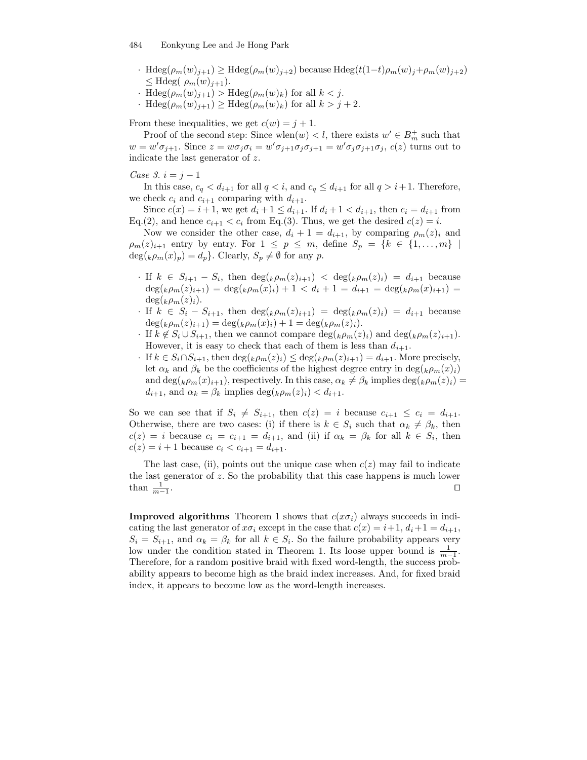- · Hdeg( $\rho_m(w)_{i+1}$ ) ≥ Hdeg( $\rho_m(w)_{i+2}$ ) because Hdeg( $t(1-t)\rho_m(w)_{i}+\rho_m(w)_{i+2}$ )  $\leq Hdeg(\rho_m(w)_{j+1}).$
- · Hdeg $(\rho_m(w)_{j+1}) > Hdeg(\rho_m(w)_k)$  for all  $k < j$ .
- · Hdeg( $\rho_m(w)_{j+1}$ ) ≥ Hdeg( $\rho_m(w)_k$ ) for all  $k > j+2$ .

From these inequalities, we get  $c(w) = i + 1$ .

Proof of the second step: Since  $\text{when}(w) < l$ , there exists  $w' \in B_m^+$  such that  $w = w' \sigma_{j+1}$ . Since  $z = w \sigma_j \sigma_i = w' \sigma_{j+1} \sigma_j \sigma_{j+1} = w' \sigma_j \sigma_{j+1} \sigma_j$ ,  $c(z)$  turns out to indicate the last generator of z.

Case 3.  $i = j - 1$ 

In this case,  $c_q < d_{i+1}$  for all  $q < i$ , and  $c_q \leq d_{i+1}$  for all  $q > i+1$ . Therefore, we check  $c_i$  and  $c_{i+1}$  comparing with  $d_{i+1}$ .

Since  $c(x) = i + 1$ , we get  $d_i + 1 \leq d_{i+1}$ . If  $d_i + 1 < d_{i+1}$ , then  $c_i = d_{i+1}$  from Eq.(2), and hence  $c_{i+1} < c_i$  from Eq.(3). Thus, we get the desired  $c(z) = i$ .

Now we consider the other case,  $d_i + 1 = d_{i+1}$ , by comparing  $\rho_m(z)_i$  and  $\rho_m(z)_{i+1}$  entry by entry. For  $1 \leq p \leq m$ , define  $S_p = \{k \in \{1, \ldots, m\}$  $\deg({}_k\rho_m(x)_p) = d_p$ . Clearly,  $S_p \neq \emptyset$  for any p.

- $\cdot$  If  $k \in S_{i+1} S_i$ , then  $\deg(k\rho_m(z)_{i+1}) < \deg(k\rho_m(z)_i) = d_{i+1}$  because  $\deg({}_k\rho_m(z)_{i+1}) = \deg({}_k\rho_m(x)_i) + 1 < d_i + 1 = d_{i+1} = \deg({}_k\rho_m(x)_{i+1}) =$  $\deg({}_k\rho_m(z)_i).$
- · If  $k \text{ } \in S_i S_{i+1}$ , then  $\deg({}_k\rho_m(z)_{i+1}) = \deg({}_k\rho_m(z)_i) = d_{i+1}$  because  $deg(k\rho_m(z)_{i+1}) = deg(k\rho_m(x)_i) + 1 = deg(k\rho_m(z)_i).$
- $\cdot$  If  $k \notin S_i \cup S_{i+1}$ , then we cannot compare  $\deg({}_k\rho_m(z)_i)$  and  $\deg({}_k\rho_m(z)_{i+1})$ . However, it is easy to check that each of them is less than  $d_{i+1}$ .
- $\cdot$  If  $k \in S_i \cap S_{i+1}$ , then  $\deg({}_k \rho_m(z)_i)$  ≤  $\deg({}_k \rho_m(z)_{i+1}) = d_{i+1}$ . More precisely, let  $\alpha_k$  and  $\beta_k$  be the coefficients of the highest degree entry in  $\deg(k\rho_m(x)_i)$ and  $\deg(k\rho_m(x)_{i+1})$ , respectively. In this case,  $\alpha_k \neq \beta_k$  implies  $\deg(k\rho_m(z)_i)$  =  $d_{i+1}$ , and  $\alpha_k = \beta_k$  implies  $\deg(k \rho_m(z)_i) < d_{i+1}$ .

So we can see that if  $S_i \neq S_{i+1}$ , then  $c(z) = i$  because  $c_{i+1} \leq c_i = d_{i+1}$ . Otherwise, there are two cases: (i) if there is  $k \in S_i$  such that  $\alpha_k \neq \beta_k$ , then  $c(z) = i$  because  $c_i = c_{i+1} = d_{i+1}$ , and (ii) if  $\alpha_k = \beta_k$  for all  $k \in S_i$ , then  $c(z) = i + 1$  because  $c_i < c_{i+1} = d_{i+1}$ .

The last case, (ii), points out the unique case when  $c(z)$  may fail to indicate the last generator of z. So the probability that this case happens is much lower than  $\frac{1}{m-1}$ . The contract of the contract of the contract of the contract of the contract of  $\Box$ 

**Improved algorithms** Theorem 1 shows that  $c(x\sigma_i)$  always succeeds in indicating the last generator of  $x\sigma_i$  except in the case that  $c(x) = i+1, d_i+1 = d_{i+1}$ ,  $S_i = S_{i+1}$ , and  $\alpha_k = \beta_k$  for all  $k \in S_i$ . So the failure probability appears very low under the condition stated in Theorem 1. Its loose upper bound is  $\frac{1}{m-1}$ . Therefore, for a random positive braid with fixed word-length, the success probability appears to become high as the braid index increases. And, for fixed braid index, it appears to become low as the word-length increases.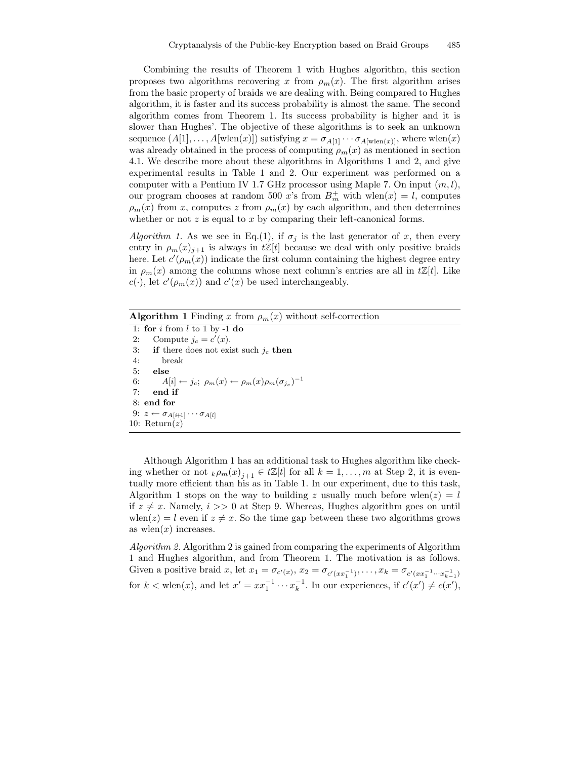Combining the results of Theorem 1 with Hughes algorithm, this section proposes two algorithms recovering x from  $\rho_m(x)$ . The first algorithm arises from the basic property of braids we are dealing with. Being compared to Hughes algorithm, it is faster and its success probability is almost the same. The second algorithm comes from Theorem 1. Its success probability is higher and it is slower than Hughes'. The objective of these algorithms is to seek an unknown sequence  $(A[1], \ldots, A[\text{when}(x)])$  satisfying  $x = \sigma_{A[1]} \cdots \sigma_{A[\text{when}(x)]}$ , where wlen $(x)$ was already obtained in the process of computing  $\rho_m(x)$  as mentioned in section 4.1. We describe more about these algorithms in Algorithms 1 and 2, and give experimental results in Table 1 and 2. Our experiment was performed on a computer with a Pentium IV 1.7 GHz processor using Maple 7. On input  $(m, l)$ , our program chooses at random 500 x's from  $B_m^+$  with wlen $(x) = l$ , computes  $\rho_m(x)$  from x, computes z from  $\rho_m(x)$  by each algorithm, and then determines whether or not  $z$  is equal to  $x$  by comparing their left-canonical forms.

Algorithm 1. As we see in Eq.(1), if  $\sigma_j$  is the last generator of x, then every entry in  $\rho_m(x)_{j+1}$  is always in  $t\mathbb{Z}[t]$  because we deal with only positive braids here. Let  $c'(\rho_m(x))$  indicate the first column containing the highest degree entry in  $\rho_m(x)$  among the columns whose next column's entries are all in  $t\mathbb{Z}[t]$ . Like  $c(\cdot)$ , let  $c'(\rho_m(x))$  and  $c'(x)$  be used interchangeably.

#### **Algorithm 1** Finding x from  $\rho_m(x)$  without self-correction

1: for  $i$  from  $l$  to 1 by -1 do 2: Compute  $j_c = c'(x)$ . 3: if there does not exist such  $i_c$  then 4: break 5: else 6:  $A[i] \leftarrow j_c; \ \rho_m(x) \leftarrow \rho_m(x) \rho_m(\sigma_{j_c})^{-1}$ 7: end if 8: end for 9:  $z \leftarrow \sigma_{A[i+1]} \cdots \sigma_{A[i]}$ 10: Return $(z)$ 

Although Algorithm 1 has an additional task to Hughes algorithm like checking whether or not  $_k \rho_m(x)_{j+1} \in t\mathbb{Z}[t]$  for all  $k = 1, \ldots, m$  at Step 2, it is eventually more efficient than his as in Table 1. In our experiment, due to this task, Algorithm 1 stops on the way to building z usually much before wlen(z) = l if  $z \neq x$ . Namely,  $i \gg 0$  at Step 9. Whereas, Hughes algorithm goes on until wlen(z) = l even if  $z \neq x$ . So the time gap between these two algorithms grows as wlen $(x)$  increases.

Algorithm 2. Algorithm 2 is gained from comparing the experiments of Algorithm 1 and Hughes algorithm, and from Theorem 1. The motivation is as follows. Given a positive braid x, let  $x_1 = \sigma_{c'(x)}, x_2 = \sigma_{c'(xx_1^{-1})}, \ldots, x_k = \sigma_{c'(xx_1^{-1} \cdots x_{k-1}^{-1})}$ for  $k < \text{when}(x)$ , and let  $x' = xx_1^{-1} \cdots x_k^{-1}$ . In our experiences, if  $c'(x') \neq c(x')$ ,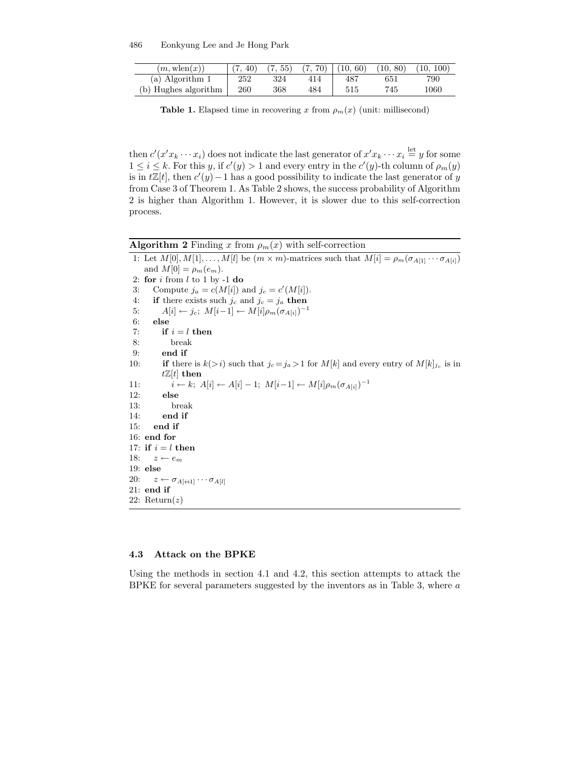| $(m, \text{when}(x))$  | (7, 40) | (7, 55) |     | $(7, 70)$ $(10, 60)$ $(10, 80)$ |     | (10, 100) |
|------------------------|---------|---------|-----|---------------------------------|-----|-----------|
| $(a)$ Algorithm 1      | 252     | 324     | 414 | 487                             | 651 | 790       |
| $(b)$ Hughes algorithm | 260     | 368     | 484 | 515                             | 745 | 1060      |

**Table 1.** Elapsed time in recovering x from  $\rho_m(x)$  (unit: millisecond)

then  $c'(x'x_k \cdots x_i)$  does not indicate the last generator of  $x'x_k \cdots x_i \stackrel{\text{let}}{=} y$  for some  $1 \leq i \leq k$ . For this y, if  $c'(y) > 1$  and every entry in the  $c'(y)$ -th column of  $\rho_m(y)$ is in  $t\mathbb{Z}[t]$ , then  $c'(y) - 1$  has a good possibility to indicate the last generator of y from Case 3 of Theorem 1. As Table 2 shows, the success probability of Algorithm 2 is higher than Algorithm 1. However, it is slower due to this self-correction process.

```
Algorithm 2 Finding x from \rho_m(x) with self-correction
```

```
1: Let M[0], M[1], \ldots, M[l] be (m \times m)-matrices such that M[i] = \rho_m(\sigma_{A[1]} \cdots \sigma_{A[i]})and M[0] = \rho_m(e_m).
 2: for i from l to 1 by \texttt{-}1 do
 3: Compute j_a = c(M[i]) and j_c = c'(M[i]).
 4: if there exists such j_c and j_c = j_a then
 5: A[i] \leftarrow j_c; M[i-1] \leftarrow M[i] \rho_m(\sigma_{A[i]})^{-1}6: else
 7: if i = l then
 8: break
9: end if
10: if there is k(>i) such that j_c = j_a > 1 for M[k] and every entry of M[k]_{j_c} is in
         t\mathbb{Z}[t] then
11: i \leftarrow k; A[i] \leftarrow A[i] - 1; M[i-1] \leftarrow M[i] \rho_m(\sigma_{A[i]})^{-1}12: else
13: break
14: end if
15: end if
16: end for
17: if i = l then
18: z \leftarrow e_m19: else
20: z \leftarrow \sigma_{A[i+1]} \cdots \sigma_{A[i]}21: end if
22: Return(z)
```
#### 4.3 Attack on the BPKE

Using the methods in section 4.1 and 4.2, this section attempts to attack the BPKE for several parameters suggested by the inventors as in Table 3, where  $a$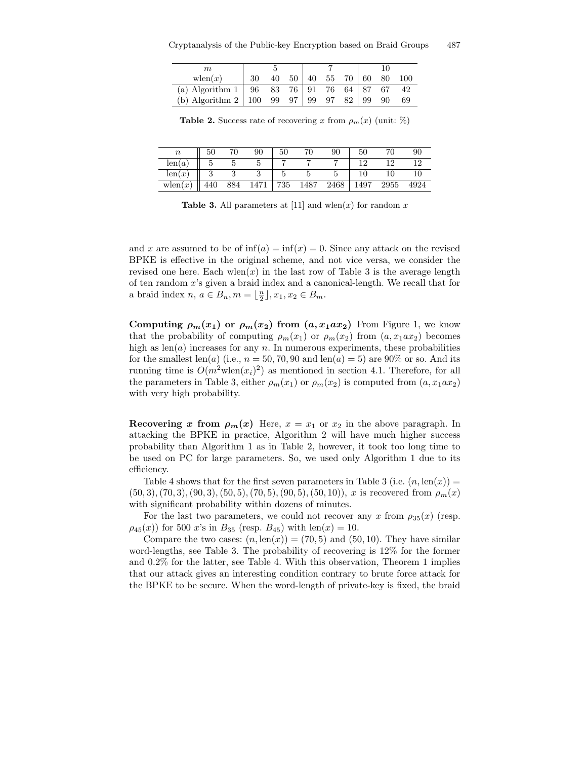| m                                                                                  |    |  |                      |  | 10 |  |     |
|------------------------------------------------------------------------------------|----|--|----------------------|--|----|--|-----|
| $\text{when}(x)$                                                                   | 30 |  | 40 50 40 55 70 60 80 |  |    |  | 100 |
| (a) Algorithm 1   96 83 $\overline{76}$   91 76 64 87 67                           |    |  |                      |  |    |  | -42 |
| (b) Algorithm $2 \mid 100 \mid 99 \mid 97 \mid 99 \mid 97 \mid 82 \mid 99 \mid 90$ |    |  |                      |  |    |  | 69  |

**Table 2.** Success rate of recovering x from  $\rho_m(x)$  (unit: %)

| $\boldsymbol{n}$            | h |     | 90   | 50     |      | 90   | 50  |      | 90  |
|-----------------------------|---|-----|------|--------|------|------|-----|------|-----|
| len(<br>$\alpha$            |   |     |      |        |      |      | 10. |      |     |
| len(x)                      |   |     |      | ∽<br>υ |      |      |     |      |     |
| wlen(<br>$\curvearrowright$ |   | 884 | $-1$ | 735    | .487 | 2468 |     | 2955 | 924 |

Table 3. All parameters at [11] and wlen(x) for random x

and x are assumed to be of  $\inf(a) = \inf(x) = 0$ . Since any attack on the revised BPKE is effective in the original scheme, and not vice versa, we consider the revised one here. Each wlen(x) in the last row of Table 3 is the average length of ten random x's given a braid index and a canonical-length. We recall that for a braid index  $n, a \in B_n, m = \lfloor \frac{n}{2} \rfloor, x_1, x_2 \in B_m$ .

Computing  $\rho_m(x_1)$  or  $\rho_m(x_2)$  from  $(a, x_1ax_2)$  From Figure 1, we know that the probability of computing  $\rho_m(x_1)$  or  $\rho_m(x_2)$  from  $(a, x_1ax_2)$  becomes high as  $len(a)$  increases for any n. In numerous experiments, these probabilities for the smallest len(a) (i.e.,  $n = 50, 70, 90$  and len(a) = 5) are 90% or so. And its running time is  $O(m^2 \text{when}(x_i)^2)$  as mentioned in section 4.1. Therefore, for all the parameters in Table 3, either  $\rho_m(x_1)$  or  $\rho_m(x_2)$  is computed from  $(a, x_1ax_2)$ with very high probability.

Recovering x from  $\rho_m(x)$  Here,  $x = x_1$  or  $x_2$  in the above paragraph. In attacking the BPKE in practice, Algorithm 2 will have much higher success probability than Algorithm 1 as in Table 2, however, it took too long time to be used on PC for large parameters. So, we used only Algorithm 1 due to its efficiency.

Table 4 shows that for the first seven parameters in Table 3 (i.e.  $(n, len(x)) =$  $(50, 3), (70, 3), (90, 3), (50, 5), (70, 5), (90, 5), (50, 10)$ , x is recovered from  $\rho_m(x)$ with significant probability within dozens of minutes.

For the last two parameters, we could not recover any x from  $\rho_{35}(x)$  (resp.  $\rho_{45}(x)$  for 500 x's in  $B_{35}$  (resp.  $B_{45}$ ) with len(x) = 10.

Compare the two cases:  $(n, len(x)) = (70, 5)$  and  $(50, 10)$ . They have similar word-lengths, see Table 3. The probability of recovering is 12% for the former and 0.2% for the latter, see Table 4. With this observation, Theorem 1 implies that our attack gives an interesting condition contrary to brute force attack for the BPKE to be secure. When the word-length of private-key is fixed, the braid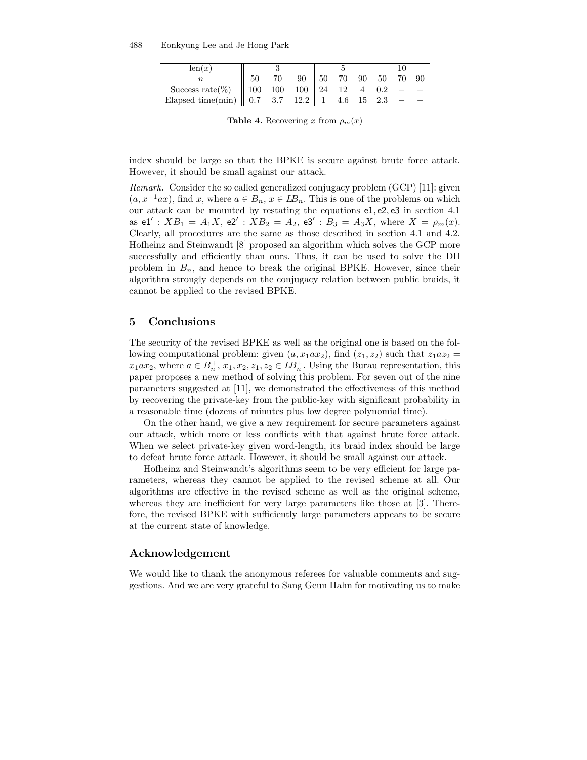| len(x)                                 |    |     |               |              |     |    |              |     |    |
|----------------------------------------|----|-----|---------------|--------------|-----|----|--------------|-----|----|
|                                        | 50 | 70  | 90            | 50           | 70  | 90 | 50           | 70. | 90 |
| Success rate(%)   $\boxed{100}$        |    | 100 | $100 \mid 24$ |              | 12  |    |              |     |    |
| Elapsed time(min) $\vert\vert$ 0.7 3.7 |    |     | 12.2          | $\mathbf{1}$ | 4.6 |    | $15 \pm 2.3$ |     |    |

**Table 4.** Recovering x from  $\rho_m(x)$ 

index should be large so that the BPKE is secure against brute force attack. However, it should be small against our attack.

Remark. Consider the so called generalized conjugacy problem (GCP) [11]: given  $(a, x^{-1}ax)$ , find x, where  $a \in B_n$ ,  $x \in LB_n$ . This is one of the problems on which our attack can be mounted by restating the equations e1, e2, e3 in section 4.1 as  $e1' : XB_1 = A_1X$ ,  $e2' : XB_2 = A_2$ ,  $e3' : B_3 = A_3X$ , where  $X = \rho_m(x)$ . Clearly, all procedures are the same as those described in section 4.1 and 4.2. Hofheinz and Steinwandt [8] proposed an algorithm which solves the GCP more successfully and efficiently than ours. Thus, it can be used to solve the DH problem in  $B_n$ , and hence to break the original BPKE. However, since their algorithm strongly depends on the conjugacy relation between public braids, it cannot be applied to the revised BPKE.

# 5 Conclusions

The security of the revised BPKE as well as the original one is based on the following computational problem: given  $(a, x_1ax_2)$ , find  $(z_1, z_2)$  such that  $z_1az_2 =$  $x_1ax_2$ , where  $a \in B_n^+$ ,  $x_1, x_2, z_1, z_2 \in \mathbb{L}$ , Using the Burau representation, this paper proposes a new method of solving this problem. For seven out of the nine parameters suggested at [11], we demonstrated the effectiveness of this method by recovering the private-key from the public-key with significant probability in a reasonable time (dozens of minutes plus low degree polynomial time).

On the other hand, we give a new requirement for secure parameters against our attack, which more or less conflicts with that against brute force attack. When we select private-key given word-length, its braid index should be large to defeat brute force attack. However, it should be small against our attack.

Hofheinz and Steinwandt's algorithms seem to be very efficient for large parameters, whereas they cannot be applied to the revised scheme at all. Our algorithms are effective in the revised scheme as well as the original scheme, whereas they are inefficient for very large parameters like those at [3]. Therefore, the revised BPKE with sufficiently large parameters appears to be secure at the current state of knowledge.

# Acknowledgement

We would like to thank the anonymous referees for valuable comments and suggestions. And we are very grateful to Sang Geun Hahn for motivating us to make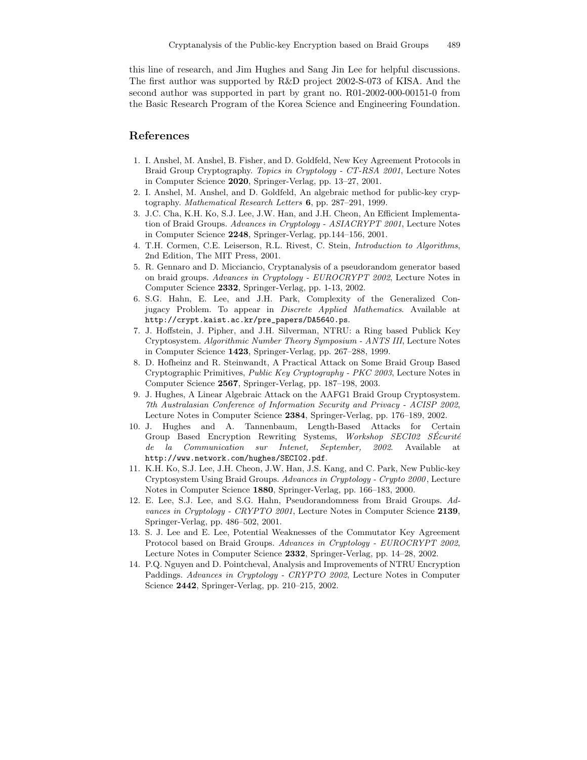this line of research, and Jim Hughes and Sang Jin Lee for helpful discussions. The first author was supported by R&D project 2002-S-073 of KISA. And the second author was supported in part by grant no. R01-2002-000-00151-0 from the Basic Research Program of the Korea Science and Engineering Foundation.

## References

- 1. I. Anshel, M. Anshel, B. Fisher, and D. Goldfeld, New Key Agreement Protocols in Braid Group Cryptography. Topics in Cryptology - CT-RSA 2001, Lecture Notes in Computer Science 2020, Springer-Verlag, pp. 13–27, 2001.
- 2. I. Anshel, M. Anshel, and D. Goldfeld, An algebraic method for public-key cryptography. Mathematical Research Letters 6, pp. 287–291, 1999.
- 3. J.C. Cha, K.H. Ko, S.J. Lee, J.W. Han, and J.H. Cheon, An Efficient Implementation of Braid Groups. Advances in Cryptology - ASIACRYPT 2001, Lecture Notes in Computer Science 2248, Springer-Verlag, pp.144–156, 2001.
- 4. T.H. Cormen, C.E. Leiserson, R.L. Rivest, C. Stein, Introduction to Algorithms, 2nd Edition, The MIT Press, 2001.
- 5. R. Gennaro and D. Micciancio, Cryptanalysis of a pseudorandom generator based on braid groups. Advances in Cryptology - EUROCRYPT 2002, Lecture Notes in Computer Science 2332, Springer-Verlag, pp. 1-13, 2002.
- 6. S.G. Hahn, E. Lee, and J.H. Park, Complexity of the Generalized Conjugacy Problem. To appear in Discrete Applied Mathematics. Available at http://crypt.kaist.ac.kr/pre\_papers/DA5640.ps.
- 7. J. Hoffstein, J. Pipher, and J.H. Silverman, NTRU: a Ring based Publick Key Cryptosystem. Algorithmic Number Theory Symposium - ANTS III, Lecture Notes in Computer Science 1423, Springer-Verlag, pp. 267–288, 1999.
- 8. D. Hofheinz and R. Steinwandt, A Practical Attack on Some Braid Group Based Cryptographic Primitives, Public Key Cryptography - PKC 2003, Lecture Notes in Computer Science 2567, Springer-Verlag, pp. 187–198, 2003.
- 9. J. Hughes, A Linear Algebraic Attack on the AAFG1 Braid Group Cryptosystem. 7th Australasian Conference of Information Security and Privacy - ACISP 2002, Lecture Notes in Computer Science 2384, Springer-Verlag, pp. 176–189, 2002.
- 10. J. Hughes and A. Tannenbaum, Length-Based Attacks for Certain Group Based Encryption Rewriting Systems, Workshop SECI02 SÉcurité de la Communication sur Intenet, September, 2002. Available at http://www.network.com/hughes/SECI02.pdf.
- 11. K.H. Ko, S.J. Lee, J.H. Cheon, J.W. Han, J.S. Kang, and C. Park, New Public-key Cryptosystem Using Braid Groups. Advances in Cryptology - Crypto 2000 , Lecture Notes in Computer Science 1880, Springer-Verlag, pp. 166–183, 2000.
- 12. E. Lee, S.J. Lee, and S.G. Hahn, Pseudorandomness from Braid Groups. Advances in Cryptology - CRYPTO 2001, Lecture Notes in Computer Science 2139, Springer-Verlag, pp. 486–502, 2001.
- 13. S. J. Lee and E. Lee, Potential Weaknesses of the Commutator Key Agreement Protocol based on Braid Groups. Advances in Cryptology - EUROCRYPT 2002, Lecture Notes in Computer Science 2332, Springer-Verlag, pp. 14–28, 2002.
- 14. P.Q. Nguyen and D. Pointcheval, Analysis and Improvements of NTRU Encryption Paddings. Advances in Cryptology - CRYPTO 2002, Lecture Notes in Computer Science 2442, Springer-Verlag, pp. 210–215, 2002.